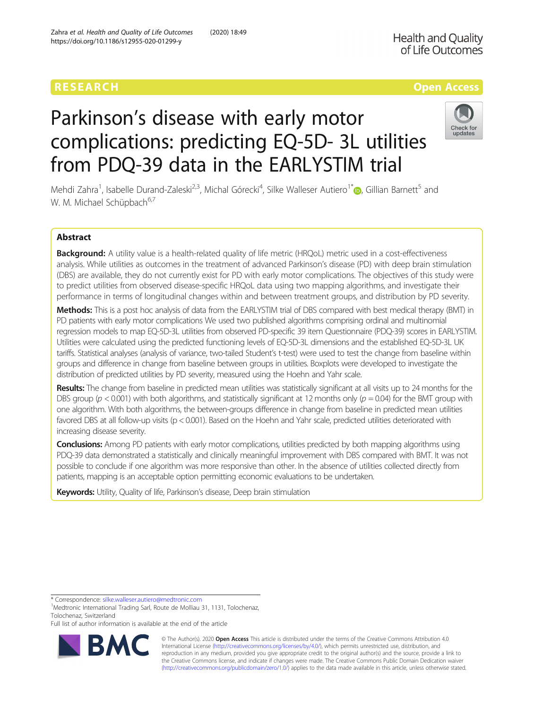# RESEARCH **RESEARCH CONSUMING THE CONSUMING THE CONSUMING TENS**

**Health and Quality** 

# Parkinson's disease with early motor complications: predicting EQ-5D- 3L utilities from PDQ-39 data in the EARLYSTIM trial



Mehdi Zahra<sup>1</sup>, Isabelle Durand-Zaleski<sup>2,3</sup>, Michal Górecki<sup>4</sup>, Silke Walleser Autiero<sup>1[\\*](http://orcid.org/0000-0001-8058-6555)</sup>. Gillian Barnett<sup>5</sup> and W. M. Michael Schüpbach<sup>6,7</sup>

## Abstract

Background: A utility value is a health-related quality of life metric (HRQoL) metric used in a cost-effectiveness analysis. While utilities as outcomes in the treatment of advanced Parkinson's disease (PD) with deep brain stimulation (DBS) are available, they do not currently exist for PD with early motor complications. The objectives of this study were to predict utilities from observed disease-specific HRQoL data using two mapping algorithms, and investigate their performance in terms of longitudinal changes within and between treatment groups, and distribution by PD severity.

Methods: This is a post hoc analysis of data from the EARLYSTIM trial of DBS compared with best medical therapy (BMT) in PD patients with early motor complications We used two published algorithms comprising ordinal and multinomial regression models to map EQ-5D-3L utilities from observed PD-specific 39 item Questionnaire (PDQ-39) scores in EARLYSTIM. Utilities were calculated using the predicted functioning levels of EQ-5D-3L dimensions and the established EQ-5D-3L UK tariffs. Statistical analyses (analysis of variance, two-tailed Student's t-test) were used to test the change from baseline within groups and difference in change from baseline between groups in utilities. Boxplots were developed to investigate the distribution of predicted utilities by PD severity, measured using the Hoehn and Yahr scale.

Results: The change from baseline in predicted mean utilities was statistically significant at all visits up to 24 months for the DBS group ( $p < 0.001$ ) with both algorithms, and statistically significant at 12 months only ( $p = 0.04$ ) for the BMT group with one algorithm. With both algorithms, the between-groups difference in change from baseline in predicted mean utilities favored DBS at all follow-up visits (p < 0.001). Based on the Hoehn and Yahr scale, predicted utilities deteriorated with increasing disease severity.

Conclusions: Among PD patients with early motor complications, utilities predicted by both mapping algorithms using PDQ-39 data demonstrated a statistically and clinically meaningful improvement with DBS compared with BMT. It was not possible to conclude if one algorithm was more responsive than other. In the absence of utilities collected directly from patients, mapping is an acceptable option permitting economic evaluations to be undertaken.

Keywords: Utility, Quality of life, Parkinson's disease, Deep brain stimulation

\* Correspondence: [silke.walleser.autiero@medtronic.com](mailto:silke.walleser.autiero@medtronic.com) <sup>1</sup>

<sup>1</sup>Medtronic International Trading Sarl, Route de Molliau 31, 1131, Tolochenaz, Tolochenaz, Switzerland

Full list of author information is available at the end of the article



© The Author(s). 2020 **Open Access** This article is distributed under the terms of the Creative Commons Attribution 4.0 International License [\(http://creativecommons.org/licenses/by/4.0/](http://creativecommons.org/licenses/by/4.0/)), which permits unrestricted use, distribution, and reproduction in any medium, provided you give appropriate credit to the original author(s) and the source, provide a link to the Creative Commons license, and indicate if changes were made. The Creative Commons Public Domain Dedication waiver [\(http://creativecommons.org/publicdomain/zero/1.0/](http://creativecommons.org/publicdomain/zero/1.0/)) applies to the data made available in this article, unless otherwise stated.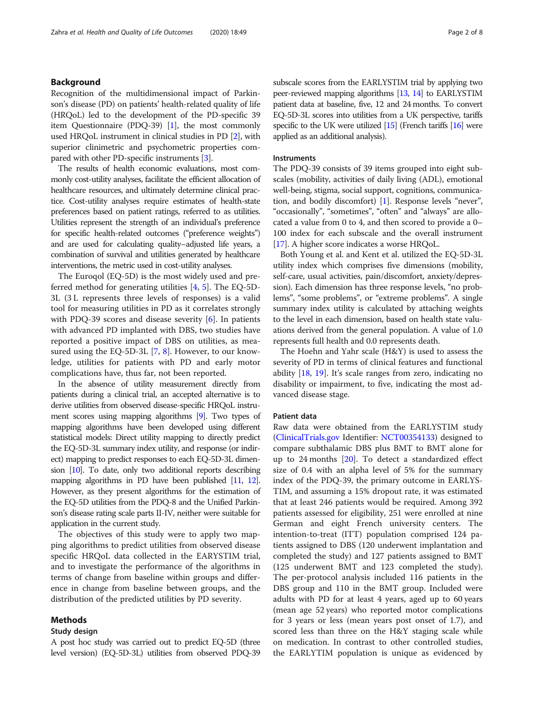### Background

Recognition of the multidimensional impact of Parkinson's disease (PD) on patients' health-related quality of life (HRQoL) led to the development of the PD-specific 39 item Questionnaire (PDQ-39) [[1](#page-7-0)], the most commonly used HRQoL instrument in clinical studies in PD [\[2\]](#page-7-0), with superior clinimetric and psychometric properties compared with other PD-specific instruments [[3](#page-7-0)].

The results of health economic evaluations, most commonly cost-utility analyses, facilitate the efficient allocation of healthcare resources, and ultimately determine clinical practice. Cost-utility analyses require estimates of health-state preferences based on patient ratings, referred to as utilities. Utilities represent the strength of an individual's preference for specific health-related outcomes ("preference weights") and are used for calculating quality–adjusted life years, a combination of survival and utilities generated by healthcare interventions, the metric used in cost-utility analyses.

The Euroqol (EQ-5D) is the most widely used and preferred method for generating utilities [\[4](#page-7-0), [5](#page-7-0)]. The EQ-5D-3L (3 L represents three levels of responses) is a valid tool for measuring utilities in PD as it correlates strongly with PDQ-39 scores and disease severity  $[6]$  $[6]$ . In patients with advanced PD implanted with DBS, two studies have reported a positive impact of DBS on utilities, as measured using the EQ-5D-3L  $[7, 8]$  $[7, 8]$  $[7, 8]$  $[7, 8]$ . However, to our knowledge, utilities for patients with PD and early motor complications have, thus far, not been reported.

In the absence of utility measurement directly from patients during a clinical trial, an accepted alternative is to derive utilities from observed disease-specific HRQoL instrument scores using mapping algorithms [\[9](#page-7-0)]. Two types of mapping algorithms have been developed using different statistical models: Direct utility mapping to directly predict the EQ-5D-3L summary index utility, and response (or indirect) mapping to predict responses to each EQ-5D-3L dimension [\[10](#page-7-0)]. To date, only two additional reports describing mapping algorithms in PD have been published [\[11,](#page-7-0) [12\]](#page-7-0). However, as they present algorithms for the estimation of the EQ-5D utilities from the PDQ-8 and the Unified Parkinson's disease rating scale parts II-IV, neither were suitable for application in the current study.

The objectives of this study were to apply two mapping algorithms to predict utilities from observed disease specific HRQoL data collected in the EARYSTIM trial, and to investigate the performance of the algorithms in terms of change from baseline within groups and difference in change from baseline between groups, and the distribution of the predicted utilities by PD severity.

#### Methods

#### Study design

subscale scores from the EARLYSTIM trial by applying two peer-reviewed mapping algorithms [[13,](#page-7-0) [14](#page-7-0)] to EARLYSTIM patient data at baseline, five, 12 and 24 months. To convert EQ-5D-3L scores into utilities from a UK perspective, tariffs specific to the UK were utilized [\[15](#page-7-0)] (French tariffs [\[16](#page-7-0)] were applied as an additional analysis).

#### Instruments

The PDQ-39 consists of 39 items grouped into eight subscales (mobility, activities of daily living (ADL), emotional well-being, stigma, social support, cognitions, communication, and bodily discomfort) [[1\]](#page-7-0). Response levels "never", "occasionally", "sometimes", "often" and "always" are allocated a value from 0 to 4, and then scored to provide a 0– 100 index for each subscale and the overall instrument [[17](#page-7-0)]. A higher score indicates a worse HRQoL.

Both Young et al. and Kent et al. utilized the EQ-5D-3L utility index which comprises five dimensions (mobility, self-care, usual activities, pain/discomfort, anxiety/depression). Each dimension has three response levels, "no problems", "some problems", or "extreme problems". A single summary index utility is calculated by attaching weights to the level in each dimension, based on health state valuations derived from the general population. A value of 1.0 represents full health and 0.0 represents death.

The Hoehn and Yahr scale (H&Y) is used to assess the severity of PD in terms of clinical features and functional ability [\[18,](#page-7-0) [19](#page-7-0)]. It's scale ranges from zero, indicating no disability or impairment, to five, indicating the most advanced disease stage.

#### Patient data

Raw data were obtained from the EARLYSTIM study ([ClinicalTrials.gov](http://clinicaltrials.gov) Identifier: [NCT00354133](https://clinicaltrials.gov/ct2/show/NCT00354133)) designed to compare subthalamic DBS plus BMT to BMT alone for up to 24 months [\[20](#page-7-0)]. To detect a standardized effect size of 0.4 with an alpha level of 5% for the summary index of the PDQ-39, the primary outcome in EARLYS-TIM, and assuming a 15% dropout rate, it was estimated that at least 246 patients would be required. Among 392 patients assessed for eligibility, 251 were enrolled at nine German and eight French university centers. The intention-to-treat (ITT) population comprised 124 patients assigned to DBS (120 underwent implantation and completed the study) and 127 patients assigned to BMT (125 underwent BMT and 123 completed the study). The per-protocol analysis included 116 patients in the DBS group and 110 in the BMT group. Included were adults with PD for at least 4 years, aged up to 60 years (mean age 52 years) who reported motor complications for 3 years or less (mean years post onset of 1.7), and scored less than three on the H&Y staging scale while on medication. In contrast to other controlled studies, the EARLYTIM population is unique as evidenced by

A post hoc study was carried out to predict EQ-5D (three level version) (EQ-5D-3L) utilities from observed PDQ-39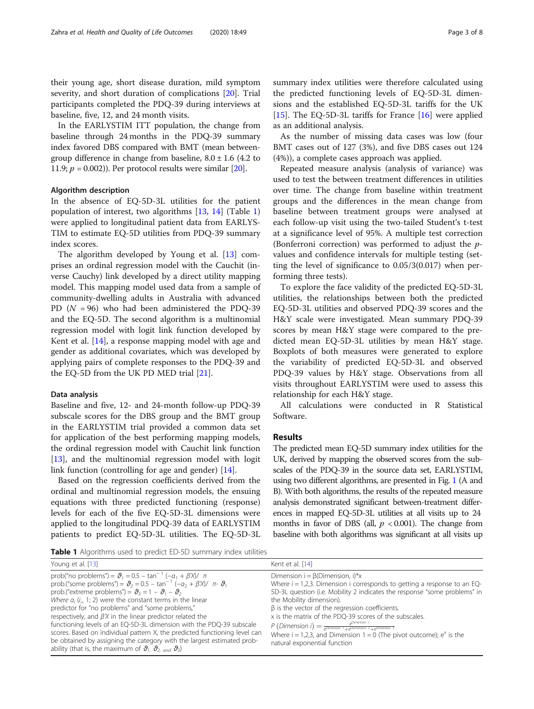their young age, short disease duration, mild symptom severity, and short duration of complications [[20\]](#page-7-0). Trial participants completed the PDQ-39 during interviews at baseline, five, 12, and 24 month visits.

In the EARLYSTIM ITT population, the change from baseline through 24 months in the PDQ-39 summary index favored DBS compared with BMT (mean betweengroup difference in change from baseline,  $8.0 \pm 1.6$  (4.2 to 11.9;  $p = 0.002$ )). Per protocol results were similar [[20](#page-7-0)].

#### Algorithm description

In the absence of EQ-5D-3L utilities for the patient population of interest, two algorithms [[13,](#page-7-0) [14](#page-7-0)] (Table 1) were applied to longitudinal patient data from EARLYS-TIM to estimate EQ-5D utilities from PDQ-39 summary index scores.

The algorithm developed by Young et al. [\[13](#page-7-0)] comprises an ordinal regression model with the Cauchit (inverse Cauchy) link developed by a direct utility mapping model. This mapping model used data from a sample of community-dwelling adults in Australia with advanced PD  $(N = 96)$  who had been administered the PDQ-39 and the EQ-5D. The second algorithm is a multinomial regression model with logit link function developed by Kent et al. [[14](#page-7-0)], a response mapping model with age and gender as additional covariates, which was developed by applying pairs of complete responses to the PDQ-39 and the EQ-5D from the UK PD MED trial [\[21](#page-7-0)].

#### Data analysis

Baseline and five, 12- and 24-month follow-up PDQ-39 subscale scores for the DBS group and the BMT group in the EARLYSTIM trial provided a common data set for application of the best performing mapping models, the ordinal regression model with Cauchit link function [[13\]](#page-7-0), and the multinomial regression model with logit link function (controlling for age and gender) [\[14\]](#page-7-0).

Based on the regression coefficients derived from the ordinal and multinomial regression models, the ensuing equations with three predicted functioning (response) levels for each of the five EQ-5D-3L dimensions were applied to the longitudinal PDQ-39 data of EARLYSTIM patients to predict EQ-5D-3L utilities. The EQ-5D-3L summary index utilities were therefore calculated using the predicted functioning levels of EQ-5D-3L dimensions and the established EQ-5D-3L tariffs for the UK [[15\]](#page-7-0). The EQ-5D-3L tariffs for France  $[16]$  $[16]$  were applied as an additional analysis.

As the number of missing data cases was low (four BMT cases out of 127 (3%), and five DBS cases out 124 (4%)), a complete cases approach was applied.

Repeated measure analysis (analysis of variance) was used to test the between treatment differences in utilities over time. The change from baseline within treatment groups and the differences in the mean change from baseline between treatment groups were analysed at each follow-up visit using the two-tailed Student's t-test at a significance level of 95%. A multiple test correction (Bonferroni correction) was performed to adjust the pvalues and confidence intervals for multiple testing (setting the level of significance to 0.05/3(0.017) when performing three tests).

To explore the face validity of the predicted EQ-5D-3L utilities, the relationships between both the predicted EQ-5D-3L utilities and observed PDQ-39 scores and the H&Y scale were investigated. Mean summary PDQ-39 scores by mean H&Y stage were compared to the predicted mean EQ-5D-3L utilities by mean H&Y stage. Boxplots of both measures were generated to explore the variability of predicted EQ-5D-3L and observed PDQ-39 values by H&Y stage. Observations from all visits throughout EARLYSTIM were used to assess this relationship for each H&Y stage.

All calculations were conducted in R Statistical Software.

#### Results

The predicted mean EQ-5D summary index utilities for the UK, derived by mapping the observed scores from the subscales of the PDQ-39 in the source data set, EARLYSTIM, using two different algorithms, are presented in Fig. [1](#page-3-0) (A and B). With both algorithms, the results of the repeated measure analysis demonstrated significant between-treatment differences in mapped EQ-5D-3L utilities at all visits up to 24 months in favor of DBS (all,  $p < 0.001$ ). The change from baseline with both algorithms was significant at all visits up

Table 1 Algorithms used to predict ED-5D summary index utilities

| <b>Table I</b> Algorithms used to predict ED-5D surfitually index diffities                                                                                                                                                                                                                                                                                                                                                                                                                                                                                                                                                                                                                                                                                                                                 |                                                                                                                                                                                                                                                                                                                                                                                                                                                                                                                                                                                                    |
|-------------------------------------------------------------------------------------------------------------------------------------------------------------------------------------------------------------------------------------------------------------------------------------------------------------------------------------------------------------------------------------------------------------------------------------------------------------------------------------------------------------------------------------------------------------------------------------------------------------------------------------------------------------------------------------------------------------------------------------------------------------------------------------------------------------|----------------------------------------------------------------------------------------------------------------------------------------------------------------------------------------------------------------------------------------------------------------------------------------------------------------------------------------------------------------------------------------------------------------------------------------------------------------------------------------------------------------------------------------------------------------------------------------------------|
| Young et al. [13]                                                                                                                                                                                                                                                                                                                                                                                                                                                                                                                                                                                                                                                                                                                                                                                           | Kent et al. [14]                                                                                                                                                                                                                                                                                                                                                                                                                                                                                                                                                                                   |
| prob("no problems") = $\vartheta_1 = 0.5 - \tan^{-1}(-a_1 + \beta \chi)/\pi$<br>prob.("some problems") = $\vartheta_2$ = 0.5 – tan <sup>-1</sup> (- $\alpha_2$ + $\beta\chi$ )/ $\pi$ - $\vartheta_1$<br>prob.("extreme problems") = $\vartheta_3 = 1 - \vartheta_1 - \vartheta_2$<br>Where $a_i$ (i= 1; 2) were the constant terms in the linear<br>predictor for "no problems" and "some problems,"<br>respectively, and $\beta$ <i>X</i> in the linear predictor related the<br>functioning levels of an EQ-5D-3L dimension with the PDQ-39 subscale<br>scores. Based on individual pattern X, the predicted functioning level can<br>be obtained by assigning the category with the largest estimated prob-<br>ability (that is, the maximum of $\mathcal{Y}_1$ , $\mathcal{Y}_2$ and $\mathcal{Y}_3$ ) | Dimension $i = \beta$ (Dimension, i)*x<br>Where $i = 1,2,3$ . Dimension i corresponds to getting a response to an EQ-<br>5D-3L question (i.e. Mobility 2 indicates the response "some problems" in<br>the Mobility dimension).<br>$\beta$ is the vector of the regression coefficients.<br>x is the matrix of the PDQ-39 scores of the subscales.<br>P (Dimension i) = $e^{\text{Dimension} i}$<br>$\frac{e^{\text{Dimension} i}}{e^{\text{Dimension} i} + e^{\text{Dimension} i}}$<br>Where $i = 1,2,3$ , and Dimension $1 = 0$ (The pivot outcome); $e^x$ is the<br>natural exponential function |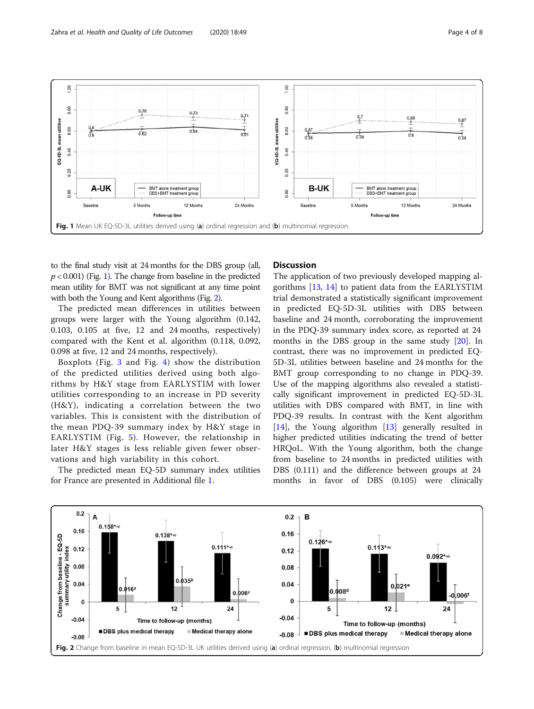

<span id="page-3-0"></span>

to the final study visit at 24 months for the DBS group (all,  $p < 0.001$ ) (Fig. 1). The change from baseline in the predicted mean utility for BMT was not significant at any time point with both the Young and Kent algorithms (Fig. 2).

The predicted mean differences in utilities between groups were larger with the Young algorithm (0.142, 0.103, 0.105 at five, 12 and 24 months, respectively) compared with the Kent et al. algorithm (0.118, 0.092, 0.098 at five, 12 and 24 months, respectively).

Boxplots (Fig. [3](#page-4-0) and Fig. [4\)](#page-4-0) show the distribution of the predicted utilities derived using both algorithms by H&Y stage from EARLYSTIM with lower utilities corresponding to an increase in PD severity (H&Y), indicating a correlation between the two variables. This is consistent with the distribution of the mean PDQ-39 summary index by H&Y stage in EARLYSTIM (Fig. [5](#page-5-0)). However, the relationship in later H&Y stages is less reliable given fewer observations and high variability in this cohort.

The predicted mean EQ-5D summary index utilities for France are presented in Additional file [1.](#page-6-0)

### **Discussion**

The application of two previously developed mapping algorithms [[13,](#page-7-0) [14](#page-7-0)] to patient data from the EARLYSTIM trial demonstrated a statistically significant improvement in predicted EQ-5D-3L utilities with DBS between baseline and 24 month, corroborating the improvement in the PDQ-39 summary index score, as reported at 24 months in the DBS group in the same study [[20\]](#page-7-0). In contrast, there was no improvement in predicted EQ-5D-3L utilities between baseline and 24 months for the BMT group corresponding to no change in PDQ-39. Use of the mapping algorithms also revealed a statistically significant improvement in predicted EQ-5D-3L utilities with DBS compared with BMT, in line with PDQ-39 results. In contrast with the Kent algorithm [[14\]](#page-7-0), the Young algorithm [\[13\]](#page-7-0) generally resulted in higher predicted utilities indicating the trend of better HRQoL. With the Young algorithm, both the change from baseline to 24 months in predicted utilities with DBS (0.111) and the difference between groups at 24 months in favor of DBS (0.105) were clinically

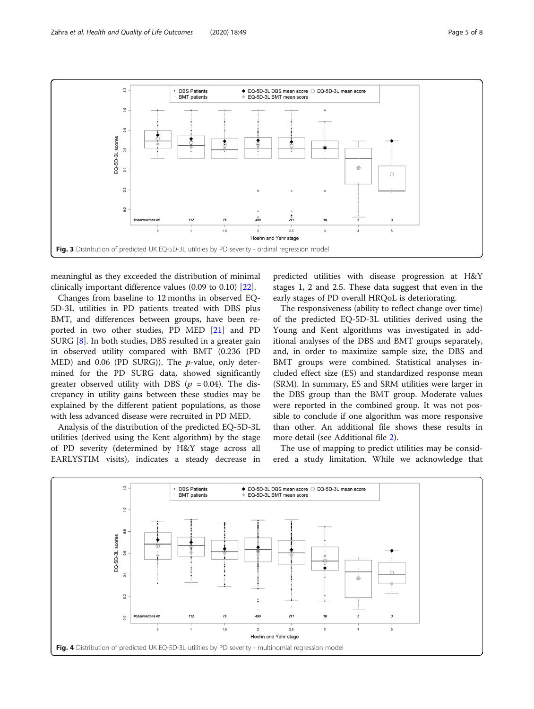<span id="page-4-0"></span>

meaningful as they exceeded the distribution of minimal clinically important difference values (0.09 to 0.10) [[22](#page-7-0)].

Changes from baseline to 12 months in observed EQ-5D-3L utilities in PD patients treated with DBS plus BMT, and differences between groups, have been reported in two other studies, PD MED [[21\]](#page-7-0) and PD SURG [\[8](#page-7-0)]. In both studies, DBS resulted in a greater gain in observed utility compared with BMT (0.236 (PD MED) and 0.06 (PD SURG)). The p-value, only determined for the PD SURG data, showed significantly greater observed utility with DBS ( $p = 0.04$ ). The discrepancy in utility gains between these studies may be explained by the different patient populations, as those with less advanced disease were recruited in PD MED.

Analysis of the distribution of the predicted EQ-5D-3L utilities (derived using the Kent algorithm) by the stage of PD severity (determined by H&Y stage across all EARLYSTIM visits), indicates a steady decrease in

predicted utilities with disease progression at H&Y stages 1, 2 and 2.5. These data suggest that even in the early stages of PD overall HRQoL is deteriorating.

The responsiveness (ability to reflect change over time) of the predicted EQ-5D-3L utilities derived using the Young and Kent algorithms was investigated in additional analyses of the DBS and BMT groups separately, and, in order to maximize sample size, the DBS and BMT groups were combined. Statistical analyses included effect size (ES) and standardized response mean (SRM). In summary, ES and SRM utilities were larger in the DBS group than the BMT group. Moderate values were reported in the combined group. It was not possible to conclude if one algorithm was more responsive than other. An additional file shows these results in more detail (see Additional file [2](#page-6-0)).

The use of mapping to predict utilities may be considered a study limitation. While we acknowledge that

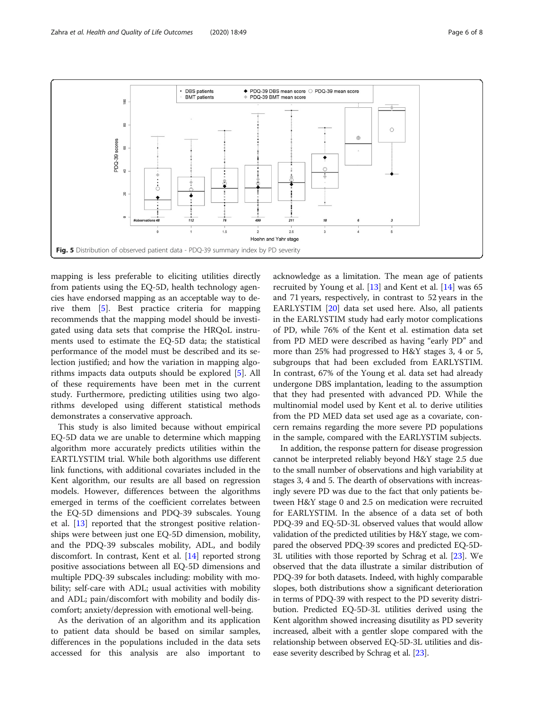<span id="page-5-0"></span>

mapping is less preferable to eliciting utilities directly from patients using the EQ-5D, health technology agencies have endorsed mapping as an acceptable way to derive them [[5\]](#page-7-0). Best practice criteria for mapping recommends that the mapping model should be investigated using data sets that comprise the HRQoL instruments used to estimate the EQ-5D data; the statistical performance of the model must be described and its selection justified; and how the variation in mapping algorithms impacts data outputs should be explored [[5](#page-7-0)]. All of these requirements have been met in the current study. Furthermore, predicting utilities using two algorithms developed using different statistical methods demonstrates a conservative approach.

This study is also limited because without empirical EQ-5D data we are unable to determine which mapping algorithm more accurately predicts utilities within the EARTLYSTIM trial. While both algorithms use different link functions, with additional covariates included in the Kent algorithm, our results are all based on regression models. However, differences between the algorithms emerged in terms of the coefficient correlates between the EQ-5D dimensions and PDQ-39 subscales. Young et al. [[13\]](#page-7-0) reported that the strongest positive relationships were between just one EQ-5D dimension, mobility, and the PDQ-39 subscales mobility, ADL, and bodily discomfort. In contrast, Kent et al. [\[14](#page-7-0)] reported strong positive associations between all EQ-5D dimensions and multiple PDQ-39 subscales including: mobility with mobility; self-care with ADL; usual activities with mobility and ADL; pain/discomfort with mobility and bodily discomfort; anxiety/depression with emotional well-being.

As the derivation of an algorithm and its application to patient data should be based on similar samples, differences in the populations included in the data sets accessed for this analysis are also important to

acknowledge as a limitation. The mean age of patients recruited by Young et al. [\[13](#page-7-0)] and Kent et al. [[14\]](#page-7-0) was 65 and 71 years, respectively, in contrast to 52 years in the EARLYSTIM [\[20](#page-7-0)] data set used here. Also, all patients in the EARLYSTIM study had early motor complications of PD, while 76% of the Kent et al. estimation data set from PD MED were described as having "early PD" and more than 25% had progressed to H&Y stages 3, 4 or 5, subgroups that had been excluded from EARLYSTIM. In contrast, 67% of the Young et al. data set had already undergone DBS implantation, leading to the assumption that they had presented with advanced PD. While the multinomial model used by Kent et al. to derive utilities from the PD MED data set used age as a covariate, concern remains regarding the more severe PD populations in the sample, compared with the EARLYSTIM subjects.

In addition, the response pattern for disease progression cannot be interpreted reliably beyond H&Y stage 2.5 due to the small number of observations and high variability at stages 3, 4 and 5. The dearth of observations with increasingly severe PD was due to the fact that only patients between H&Y stage 0 and 2.5 on medication were recruited for EARLYSTIM. In the absence of a data set of both PDQ-39 and EQ-5D-3L observed values that would allow validation of the predicted utilities by H&Y stage, we compared the observed PDQ-39 scores and predicted EQ-5D-3L utilities with those reported by Schrag et al. [[23\]](#page-7-0). We observed that the data illustrate a similar distribution of PDQ-39 for both datasets. Indeed, with highly comparable slopes, both distributions show a significant deterioration in terms of PDQ-39 with respect to the PD severity distribution. Predicted EQ-5D-3L utilities derived using the Kent algorithm showed increasing disutility as PD severity increased, albeit with a gentler slope compared with the relationship between observed EQ-5D-3L utilities and disease severity described by Schrag et al. [[23](#page-7-0)].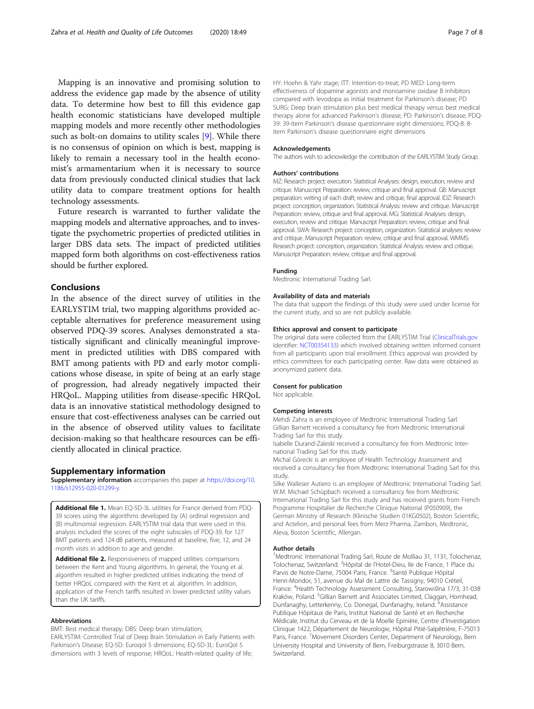<span id="page-6-0"></span>Mapping is an innovative and promising solution to address the evidence gap made by the absence of utility data. To determine how best to fill this evidence gap health economic statisticians have developed multiple mapping models and more recently other methodologies such as bolt-on domains to utility scales [\[9](#page-7-0)]. While there is no consensus of opinion on which is best, mapping is likely to remain a necessary tool in the health economist's armamentarium when it is necessary to source data from previously conducted clinical studies that lack utility data to compare treatment options for health technology assessments.

Future research is warranted to further validate the mapping models and alternative approaches, and to investigate the psychometric properties of predicted utilities in larger DBS data sets. The impact of predicted utilities mapped form both algorithms on cost-effectiveness ratios should be further explored.

#### Conclusions

In the absence of the direct survey of utilities in the EARLYSTIM trial, two mapping algorithms provided acceptable alternatives for preference measurement using observed PDQ-39 scores. Analyses demonstrated a statistically significant and clinically meaningful improvement in predicted utilities with DBS compared with BMT among patients with PD and early motor complications whose disease, in spite of being at an early stage of progression, had already negatively impacted their HRQoL. Mapping utilities from disease-specific HRQoL data is an innovative statistical methodology designed to ensure that cost-effectiveness analyses can be carried out in the absence of observed utility values to facilitate decision-making so that healthcare resources can be efficiently allocated in clinical practice.

#### Supplementary information

Supplementary information accompanies this paper at [https://doi.org/10.](https://doi.org/10.1186/s12955-020-01299-y) [1186/s12955-020-01299-y](https://doi.org/10.1186/s12955-020-01299-y).

Additional file 1. Mean EQ-5D-3L utilities for France derived from PDQ-39 scores using the algorithms developed by (A) ordinal regression and (B) multinomial regression. EARLYSTIM trial data that were used in this analysis included the scores of the eight subscales of PDQ-39, for 127 BMT patients and 124 dB patients, measured at baseline, five, 12, and 24 month visits in addition to age and gender.

Additional file 2. Responsiveness of mapped utilities: comparisons between the Kent and Young algorithms. In general, the Young et al. algorithm resulted in higher predicted utilities indicating the trend of better HRQoL compared with the Kent et al. algorithm. In addition, application of the French tariffs resulted in lower predicted utility values than the UK tariffs.

#### Abbreviations

BMT: Best medical therapy; DBS: Deep brain stimulation;

EARLYSTIM: Controlled Trial of Deep Brain Stimulation in Early Patients with Parkinson's Disease; EQ-5D: Euroqol 5 dimensions; EQ-5D-3L: EuroQol 5 dimensions with 3 levels of response; HRQoL: Health-related quality of life;

HY: Hoehn & Yahr stage; ITT: Intention-to-treat; PD MED: Long-term effectiveness of dopamine agonists and monoamine oxidase B inhibitors compared with levodopa as initial treatment for Parkinson's disease; PD SURG: Deep brain stimulation plus best medical therapy versus best medical therapy alone for advanced Parkinson's disease; PD: Parkinson's disease; PDQ-39: 39-item Parkinson's disease questionnaire eight dimensions; PDQ-8: 8 item Parkinson's disease questionnaire eight dimensions

#### Acknowledgements

The authors wish to acknowledge the contribution of the EARLYSTIM Study Group.

#### Authors' contributions

MZ: Research project: execution. Statistical Analyses: design, execution, review and critique. Manuscript Preparation: review, critique and final approval. GB: Manuscript preparation: writing of each draft; review and critique, final approval. IDZ: Research project: conception, organization. Statistical Analysis: review and critique. Manuscript Preparation: review, critique and final approval. MG: Statistical Analyses: design, execution, review and critique. Manuscript Preparation: review, critique and final approval. SWA: Research project: conception, organization. Statistical analyses: review and critique. Manuscript Preparation: review, critique and final approval. WMMS: Research project: conception, organization. Statistical Analysis: review and critique. Manuscript Preparation: review, critique and final approval.

#### Funding

Medtronic International Trading Sarl.

#### Availability of data and materials

The data that support the findings of this study were used under license for the current study, and so are not publicly available.

#### Ethics approval and consent to participate

The original data were collected from the EARLYSTIM Trial [\(ClinicalTrials.gov](http://clinicaltrials.gov) Identifier: [NCT00354133\)](https://clinicaltrials.gov/ct2/show/NCT00354133) which involved obtaining written informed consent from all participants upon trial enrollment. Ethics approval was provided by ethics committees for each participating center. Raw data were obtained as anonymized patient data.

#### Consent for publication

Not applicable.

#### Competing interests

Mehdi Zahra is an employee of Medtronic International Trading Sarl. Gillian Barnett received a consultancy fee from Medtronic International Trading Sarl for this study.

Isabelle Durand-Zaleski received a consultancy fee from Medtronic International Trading Sarl for this study.

Michal Górecki is an employee of Health Technology Assessment and received a consultancy fee from Medtronic International Trading Sarl for this study.

Silke Walleser Autiero is an employee of Medtronic International Trading Sarl. W.M. Michael Schüpbach received a consultancy fee from Medtronic International Trading Sarl for this study and has received grants from French Programme Hospitalier de Recherche Clinique National (P050909), the German Ministry of Research (Klinische Studien 01KG0502), Boston Scientific, and Actelion, and personal fees from Merz Pharma, Zambon, Medtronic, Aleva, Boston Scientific, Allergan.

#### Author details

<sup>1</sup>Medtronic International Trading Sarl, Route de Molliau 31, 1131, Tolochenaz Tolochenaz, Switzerland. <sup>2</sup> Hôpital de l'Hotel-Dieu, lle de France, 1 Place du Parvis de Notre-Dame, 75004 Paris, France. <sup>3</sup>Santé Publique Hôpital Henri-Mondor, 51, avenue du Mal de Lattre de Tassigny, 94010 Créteil, France. <sup>4</sup> Health Technology Assessment Consulting, Starowiślna 17/3, 31-038 Kraków, Poland. <sup>5</sup>Gillian Barnett and Associates Limited, Claggan, Hornhead Dunfanaghy, Letterkenny, Co. Donegal, Dunfanaghy, Ireland. <sup>6</sup>Assistance Publique Hôpitaux de Paris, Institut National de Santé et en Recherche Médicale, Institut du Cerveau et de la Moelle Epinière, Centre d'Investigation Clinique 1422, Département de Neurologie, Hôpital Pitié-Salpêtrière, F-75013 Paris, France. <sup>7</sup>Movement Disorders Center, Department of Neurology, Bern University Hospital and University of Bern, Freiburgstrasse 8, 3010 Bern, Switzerland.